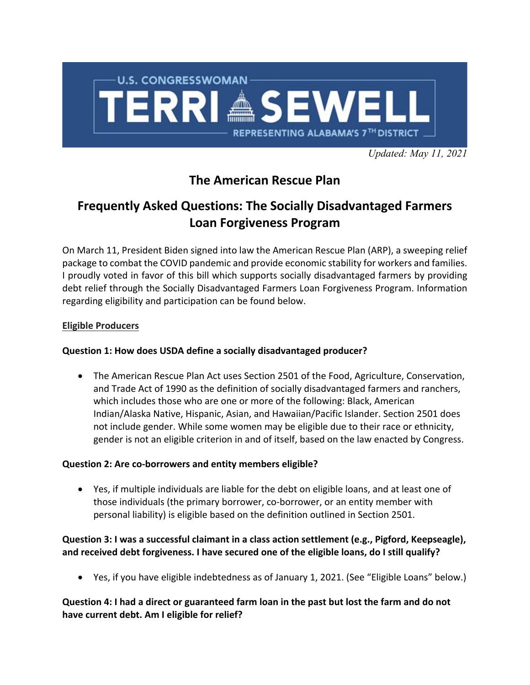

*Updated: May 11, 2021*

# **The American Rescue Plan**

# **Frequently Asked Questions: The Socially Disadvantaged Farmers Loan Forgiveness Program**

On March 11, President Biden signed into law the American Rescue Plan (ARP), a sweeping relief package to combat the COVID pandemic and provide economic stability for workers and families. I proudly voted in favor of this bill which supports socially disadvantaged farmers by providing debt relief through the Socially Disadvantaged Farmers Loan Forgiveness Program. Information regarding eligibility and participation can be found below.

# **Eligible Producers**

# **Question 1: How does USDA define a socially disadvantaged producer?**

• The American Rescue Plan Act uses Section 2501 of the Food, Agriculture, Conservation, and Trade Act of 1990 as the definition of socially disadvantaged farmers and ranchers, which includes those who are one or more of the following: Black, American Indian/Alaska Native, Hispanic, Asian, and Hawaiian/Pacific Islander. Section 2501 does not include gender. While some women may be eligible due to their race or ethnicity, gender is not an eligible criterion in and of itself, based on the law enacted by Congress.

# **Question 2: Are co-borrowers and entity members eligible?**

• Yes, if multiple individuals are liable for the debt on eligible loans, and at least one of those individuals (the primary borrower, co-borrower, or an entity member with personal liability) is eligible based on the definition outlined in Section 2501.

# **Question 3: I was a successful claimant in a class action settlement (e.g., Pigford, Keepseagle), and received debt forgiveness. I have secured one of the eligible loans, do I still qualify?**

• Yes, if you have eligible indebtedness as of January 1, 2021. (See "Eligible Loans" below.)

# **Question 4: I had a direct or guaranteed farm loan in the past but lost the farm and do not have current debt. Am I eligible for relief?**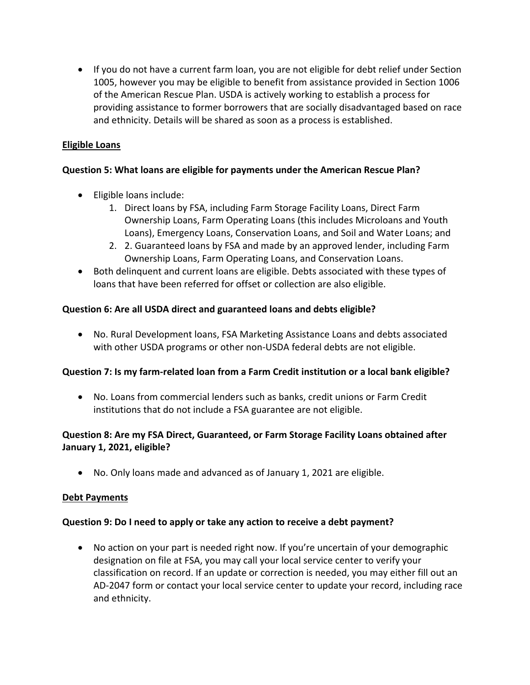• If you do not have a current farm loan, you are not eligible for debt relief under Section 1005, however you may be eligible to benefit from assistance provided in Section 1006 of the American Rescue Plan. USDA is actively working to establish a process for providing assistance to former borrowers that are socially disadvantaged based on race and ethnicity. Details will be shared as soon as a process is established.

# **Eligible Loans**

# **Question 5: What loans are eligible for payments under the American Rescue Plan?**

- Eligible loans include:
	- 1. Direct loans by FSA, including Farm Storage Facility Loans, Direct Farm Ownership Loans, Farm Operating Loans (this includes Microloans and Youth Loans), Emergency Loans, Conservation Loans, and Soil and Water Loans; and
	- 2. 2. Guaranteed loans by FSA and made by an approved lender, including Farm Ownership Loans, Farm Operating Loans, and Conservation Loans.
- Both delinquent and current loans are eligible. Debts associated with these types of loans that have been referred for offset or collection are also eligible.

# **Question 6: Are all USDA direct and guaranteed loans and debts eligible?**

• No. Rural Development loans, FSA Marketing Assistance Loans and debts associated with other USDA programs or other non-USDA federal debts are not eligible.

#### **Question 7: Is my farm-related loan from a Farm Credit institution or a local bank eligible?**

• No. Loans from commercial lenders such as banks, credit unions or Farm Credit institutions that do not include a FSA guarantee are not eligible.

# **Question 8: Are my FSA Direct, Guaranteed, or Farm Storage Facility Loans obtained after January 1, 2021, eligible?**

• No. Only loans made and advanced as of January 1, 2021 are eligible.

#### **Debt Payments**

#### **Question 9: Do I need to apply or take any action to receive a debt payment?**

• No action on your part is needed right now. If you're uncertain of your demographic designation on file at FSA, you may call your local service center to verify your classification on record. If an update or correction is needed, you may either fill out an AD-2047 form or contact your local service center to update your record, including race and ethnicity.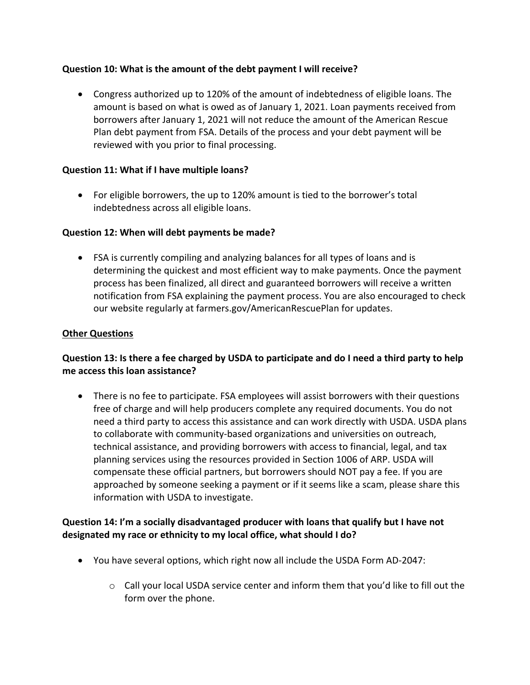## **Question 10: What is the amount of the debt payment I will receive?**

• Congress authorized up to 120% of the amount of indebtedness of eligible loans. The amount is based on what is owed as of January 1, 2021. Loan payments received from borrowers after January 1, 2021 will not reduce the amount of the American Rescue Plan debt payment from FSA. Details of the process and your debt payment will be reviewed with you prior to final processing.

## **Question 11: What if I have multiple loans?**

• For eligible borrowers, the up to 120% amount is tied to the borrower's total indebtedness across all eligible loans.

## **Question 12: When will debt payments be made?**

• FSA is currently compiling and analyzing balances for all types of loans and is determining the quickest and most efficient way to make payments. Once the payment process has been finalized, all direct and guaranteed borrowers will receive a written notification from FSA explaining the payment process. You are also encouraged to check our website regularly at farmers.gov/AmericanRescuePlan for updates.

## **Other Questions**

# **Question 13: Is there a fee charged by USDA to participate and do I need a third party to help me access this loan assistance?**

• There is no fee to participate. FSA employees will assist borrowers with their questions free of charge and will help producers complete any required documents. You do not need a third party to access this assistance and can work directly with USDA. USDA plans to collaborate with community-based organizations and universities on outreach, technical assistance, and providing borrowers with access to financial, legal, and tax planning services using the resources provided in Section 1006 of ARP. USDA will compensate these official partners, but borrowers should NOT pay a fee. If you are approached by someone seeking a payment or if it seems like a scam, please share this information with USDA to investigate.

# **Question 14: I'm a socially disadvantaged producer with loans that qualify but I have not designated my race or ethnicity to my local office, what should I do?**

- You have several options, which right now all include the USDA Form AD-2047:
	- $\circ$  Call your local USDA service center and inform them that you'd like to fill out the form over the phone.